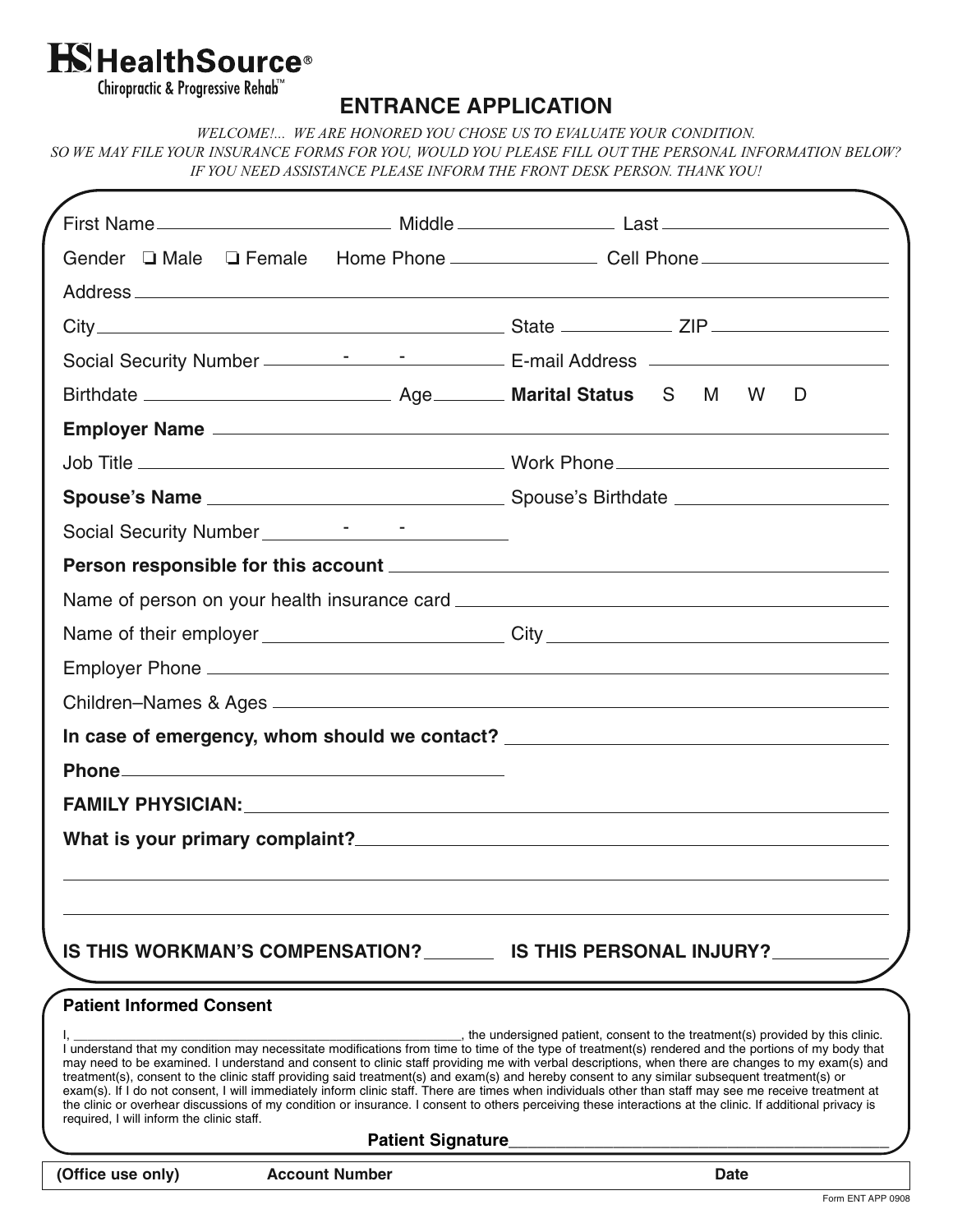# **K**HealthSource®

Chiropractic & Progressive Rehab™

## **ENTRANCE APPLICATION**

*WELCOME!... WE ARE HONORED YOU CHOSE US TO EVALUATE YOUR CONDITION. SO WE MAY FILE YOUR INSURANCE FORMS FOR YOU, WOULD YOU PLEASE FILL OUT THE PERSONAL INFORMATION BELOW? IF YOU NEED ASSISTANCE PLEASE INFORM THE FRONT DESK PERSON. THANK YOU!*

| (Office use only) |                                                                              | <b>Account Number</b> |                          |                                                                                                                                                                                                                                                                                                                                                                                                                                                                                                                                                                                                                                                                                                                                                                                                                                                                         |  | <b>Date</b> |          |   |  |
|-------------------|------------------------------------------------------------------------------|-----------------------|--------------------------|-------------------------------------------------------------------------------------------------------------------------------------------------------------------------------------------------------------------------------------------------------------------------------------------------------------------------------------------------------------------------------------------------------------------------------------------------------------------------------------------------------------------------------------------------------------------------------------------------------------------------------------------------------------------------------------------------------------------------------------------------------------------------------------------------------------------------------------------------------------------------|--|-------------|----------|---|--|
|                   |                                                                              |                       | <b>Patient Signature</b> |                                                                                                                                                                                                                                                                                                                                                                                                                                                                                                                                                                                                                                                                                                                                                                                                                                                                         |  |             |          |   |  |
|                   | <b>Patient Informed Consent</b><br>required, I will inform the clinic staff. |                       |                          | , the undersigned patient, consent to the treatment(s) provided by this clinic.<br>I understand that my condition may necessitate modifications from time to time of the type of treatment(s) rendered and the portions of my body that<br>may need to be examined. I understand and consent to clinic staff providing me with verbal descriptions, when there are changes to my exam(s) and<br>treatment(s), consent to the clinic staff providing said treatment(s) and exam(s) and hereby consent to any similar subsequent treatment(s) or<br>exam(s). If I do not consent, I will immediately inform clinic staff. There are times when individuals other than staff may see me receive treatment at<br>the clinic or overhear discussions of my condition or insurance. I consent to others perceiving these interactions at the clinic. If additional privacy is |  |             |          |   |  |
|                   |                                                                              |                       |                          | IS THIS WORKMAN'S COMPENSATION? IS THIS PERSONAL INJURY?                                                                                                                                                                                                                                                                                                                                                                                                                                                                                                                                                                                                                                                                                                                                                                                                                |  |             |          |   |  |
|                   |                                                                              |                       |                          |                                                                                                                                                                                                                                                                                                                                                                                                                                                                                                                                                                                                                                                                                                                                                                                                                                                                         |  |             |          |   |  |
|                   |                                                                              |                       |                          |                                                                                                                                                                                                                                                                                                                                                                                                                                                                                                                                                                                                                                                                                                                                                                                                                                                                         |  |             |          |   |  |
|                   |                                                                              |                       |                          |                                                                                                                                                                                                                                                                                                                                                                                                                                                                                                                                                                                                                                                                                                                                                                                                                                                                         |  |             |          |   |  |
|                   |                                                                              |                       |                          |                                                                                                                                                                                                                                                                                                                                                                                                                                                                                                                                                                                                                                                                                                                                                                                                                                                                         |  |             |          |   |  |
|                   |                                                                              |                       |                          | In case of emergency, whom should we contact? __________________________________                                                                                                                                                                                                                                                                                                                                                                                                                                                                                                                                                                                                                                                                                                                                                                                        |  |             |          |   |  |
|                   |                                                                              |                       |                          |                                                                                                                                                                                                                                                                                                                                                                                                                                                                                                                                                                                                                                                                                                                                                                                                                                                                         |  |             |          |   |  |
|                   |                                                                              |                       |                          |                                                                                                                                                                                                                                                                                                                                                                                                                                                                                                                                                                                                                                                                                                                                                                                                                                                                         |  |             |          |   |  |
|                   |                                                                              |                       |                          |                                                                                                                                                                                                                                                                                                                                                                                                                                                                                                                                                                                                                                                                                                                                                                                                                                                                         |  |             |          |   |  |
|                   |                                                                              |                       |                          | Name of person on your health insurance card ___________________________________                                                                                                                                                                                                                                                                                                                                                                                                                                                                                                                                                                                                                                                                                                                                                                                        |  |             |          |   |  |
|                   |                                                                              |                       |                          |                                                                                                                                                                                                                                                                                                                                                                                                                                                                                                                                                                                                                                                                                                                                                                                                                                                                         |  |             |          |   |  |
|                   |                                                                              |                       |                          |                                                                                                                                                                                                                                                                                                                                                                                                                                                                                                                                                                                                                                                                                                                                                                                                                                                                         |  |             |          |   |  |
|                   |                                                                              |                       |                          |                                                                                                                                                                                                                                                                                                                                                                                                                                                                                                                                                                                                                                                                                                                                                                                                                                                                         |  |             |          |   |  |
|                   |                                                                              |                       |                          |                                                                                                                                                                                                                                                                                                                                                                                                                                                                                                                                                                                                                                                                                                                                                                                                                                                                         |  |             |          |   |  |
|                   |                                                                              |                       |                          |                                                                                                                                                                                                                                                                                                                                                                                                                                                                                                                                                                                                                                                                                                                                                                                                                                                                         |  |             | <b>W</b> | D |  |
|                   |                                                                              |                       |                          |                                                                                                                                                                                                                                                                                                                                                                                                                                                                                                                                                                                                                                                                                                                                                                                                                                                                         |  |             |          |   |  |
|                   |                                                                              |                       |                          |                                                                                                                                                                                                                                                                                                                                                                                                                                                                                                                                                                                                                                                                                                                                                                                                                                                                         |  |             |          |   |  |
|                   |                                                                              |                       |                          |                                                                                                                                                                                                                                                                                                                                                                                                                                                                                                                                                                                                                                                                                                                                                                                                                                                                         |  |             |          |   |  |
|                   |                                                                              |                       |                          |                                                                                                                                                                                                                                                                                                                                                                                                                                                                                                                                                                                                                                                                                                                                                                                                                                                                         |  |             |          |   |  |
|                   |                                                                              |                       |                          |                                                                                                                                                                                                                                                                                                                                                                                                                                                                                                                                                                                                                                                                                                                                                                                                                                                                         |  |             |          |   |  |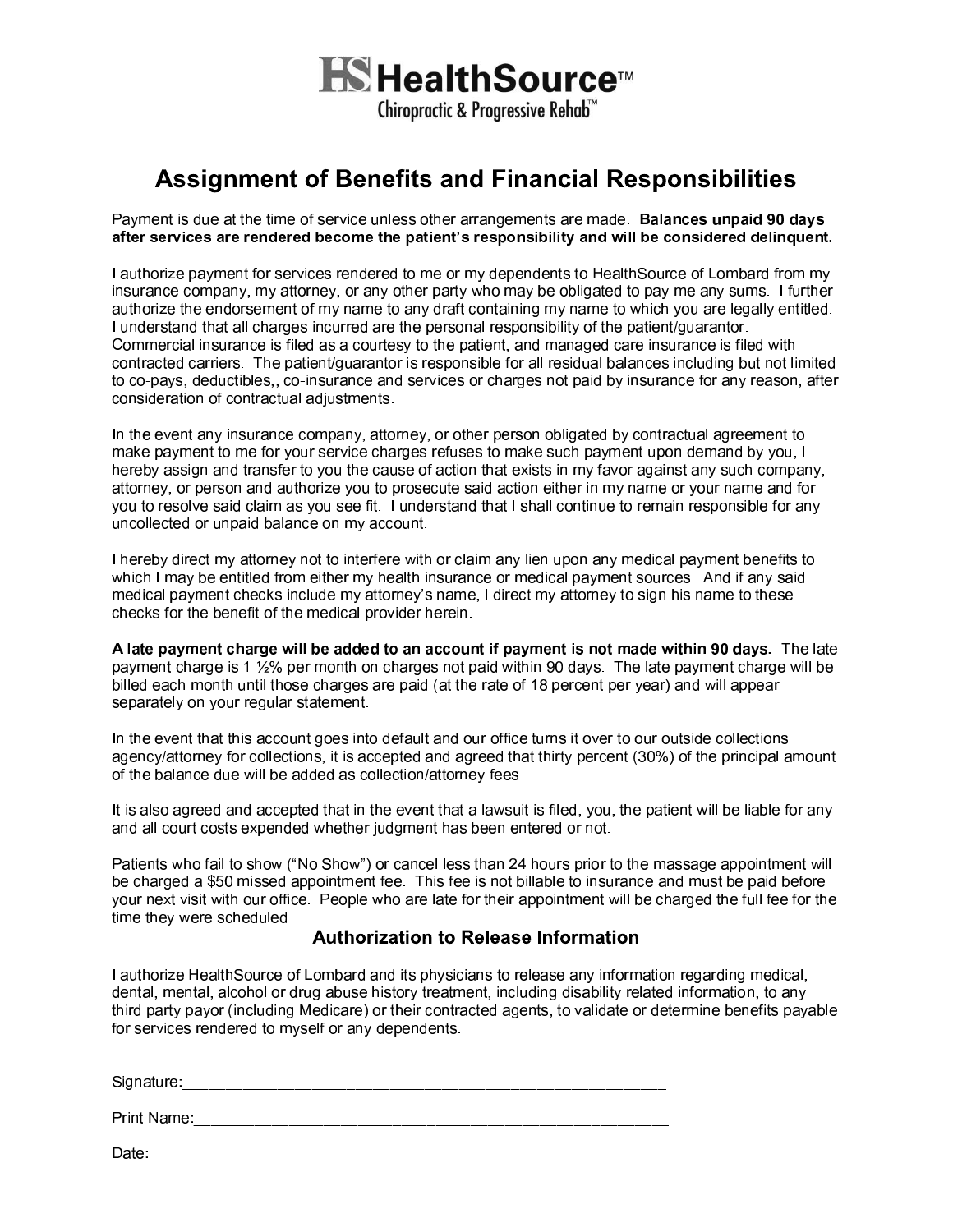

## **Assignment of Benefits and Financial Responsibilities**

Payment is due at the time of service unless other arrangements are made. Balances unpaid 90 days after services are rendered become the patient's responsibility and will be considered delinquent.

I authorize payment for services rendered to me or my dependents to HealthSource of Lombard from my insurance company, my attorney, or any other party who may be obligated to pay me any sums. I further authorize the endorsement of my name to any draft containing my name to which you are legally entitled. I understand that all charges incurred are the personal responsibility of the patient/guarantor. Commercial insurance is filed as a courtesy to the patient, and managed care insurance is filed with contracted carriers. The patient/guarantor is responsible for all residual balances including but not limited to co-pays, deductibles,, co-insurance and services or charges not paid by insurance for any reason, after consideration of contractual adjustments.

In the event any insurance company, attorney, or other person obligated by contractual agreement to make payment to me for your service charges refuses to make such payment upon demand by you, I hereby assign and transfer to you the cause of action that exists in my favor against any such company, attorney, or person and authorize you to prosecute said action either in my name or your name and for you to resolve said claim as you see fit. I understand that I shall continue to remain responsible for any uncollected or unpaid balance on my account.

I hereby direct my attorney not to interfere with or claim any lien upon any medical payment benefits to which I may be entitled from either my health insurance or medical payment sources. And if any said medical payment checks include my attorney's name. I direct my attorney to sign his name to these checks for the benefit of the medical provider herein.

A late payment charge will be added to an account if payment is not made within 90 days. The late payment charge is 1 1/2% per month on charges not paid within 90 days. The late payment charge will be billed each month until those charges are paid (at the rate of 18 percent per year) and will appear separately on your regular statement.

In the event that this account goes into default and our office turns it over to our outside collections agency/attorney for collections, it is accepted and agreed that thirty percent (30%) of the principal amount of the balance due will be added as collection/attorney fees.

It is also agreed and accepted that in the event that a lawsuit is filed, you, the patient will be liable for any and all court costs expended whether judgment has been entered or not.

Patients who fail to show ("No Show") or cancel less than 24 hours prior to the massage appointment will be charged a \$50 missed appointment fee. This fee is not billable to insurance and must be paid before your next visit with our office. People who are late for their appointment will be charged the full fee for the time they were scheduled.

### **Authorization to Release Information**

I authorize HealthSource of Lombard and its physicians to release any information regarding medical, dental, mental, alcohol or drug abuse history treatment, including disability related information, to any third party payor (including Medicare) or their contracted agents, to validate or determine benefits payable for services rendered to myself or any dependents.

| Signature:_ |  |  |
|-------------|--|--|
| Print Name: |  |  |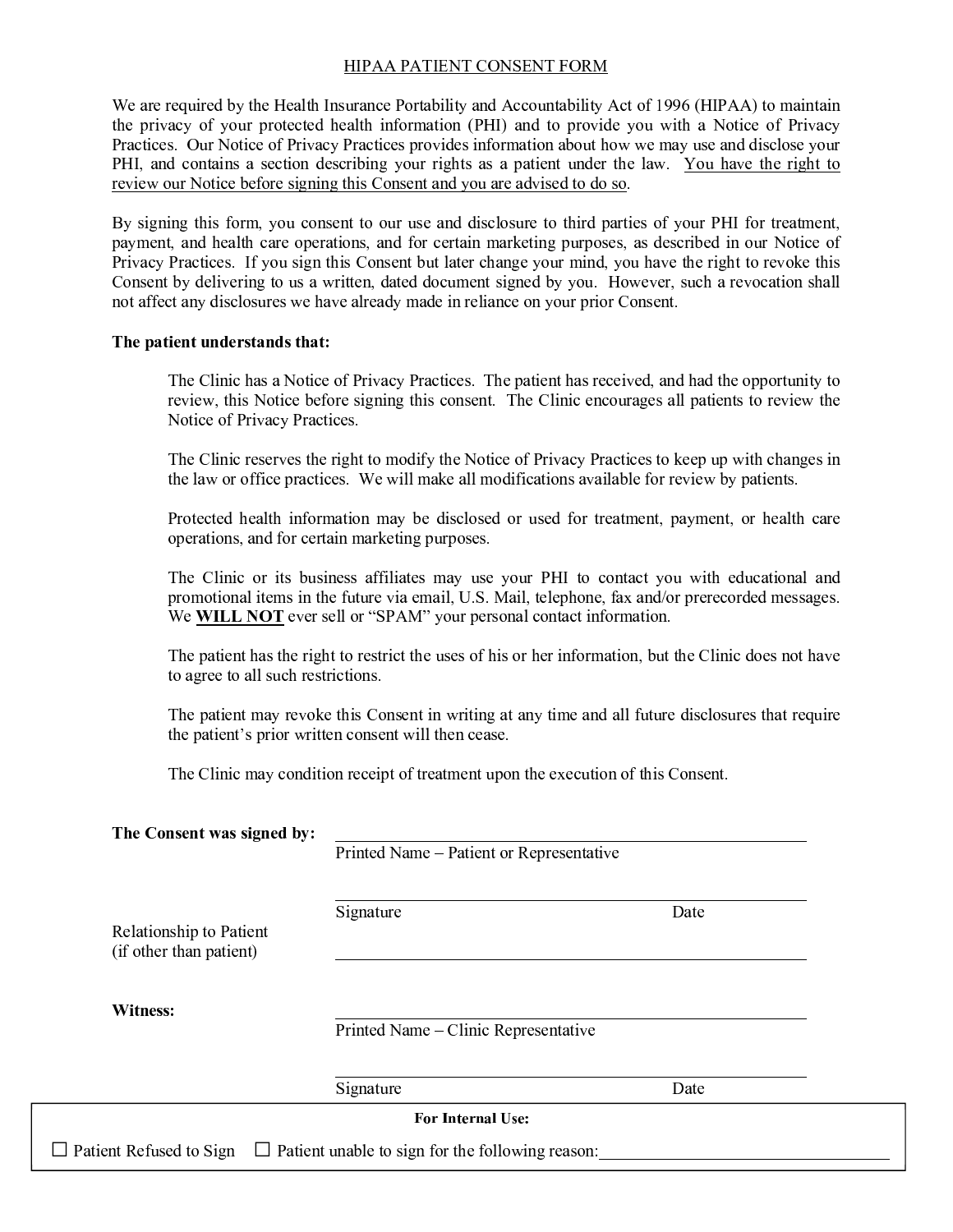### **HIPAA PATIENT CONSENT FORM**

We are required by the Health Insurance Portability and Accountability Act of 1996 (HIPAA) to maintain the privacy of your protected health information (PHI) and to provide you with a Notice of Privacy Practices. Our Notice of Privacy Practices provides information about how we may use and disclose your PHI, and contains a section describing your rights as a patient under the law. You have the right to review our Notice before signing this Consent and you are advised to do so.

By signing this form, you consent to our use and disclosure to third parties of your PHI for treatment, payment, and health care operations, and for certain marketing purposes, as described in our Notice of Privacy Practices. If you sign this Consent but later change your mind, you have the right to revoke this Consent by delivering to us a written, dated document signed by you. However, such a revocation shall not affect any disclosures we have already made in reliance on your prior Consent.

#### The patient understands that:

The Clinic has a Notice of Privacy Practices. The patient has received, and had the opportunity to review, this Notice before signing this consent. The Clinic encourages all patients to review the Notice of Privacy Practices.

The Clinic reserves the right to modify the Notice of Privacy Practices to keep up with changes in the law or office practices. We will make all modifications available for review by patients.

Protected health information may be disclosed or used for treatment, payment, or health care operations, and for certain marketing purposes.

The Clinic or its business affiliates may use your PHI to contact you with educational and promotional items in the future via email, U.S. Mail, telephone, fax and/or prerecorded messages. We **WILL NOT** ever sell or "SPAM" your personal contact information.

The patient has the right to restrict the uses of his or her information, but the Clinic does not have to agree to all such restrictions.

The patient may revoke this Consent in writing at any time and all future disclosures that require the patient's prior written consent will then cease.

The Clinic may condition receipt of treatment upon the execution of this Consent.

| The Consent was signed by:                         | Printed Name – Patient or Representative                |      |  |
|----------------------------------------------------|---------------------------------------------------------|------|--|
| Relationship to Patient<br>(if other than patient) | Signature                                               | Date |  |
| Witness:                                           | Printed Name – Clinic Representative                    |      |  |
|                                                    | Signature                                               | Date |  |
|                                                    | <b>For Internal Use:</b>                                |      |  |
| $\Box$ Patient Refused to Sign                     | $\Box$ Patient unable to sign for the following reason: |      |  |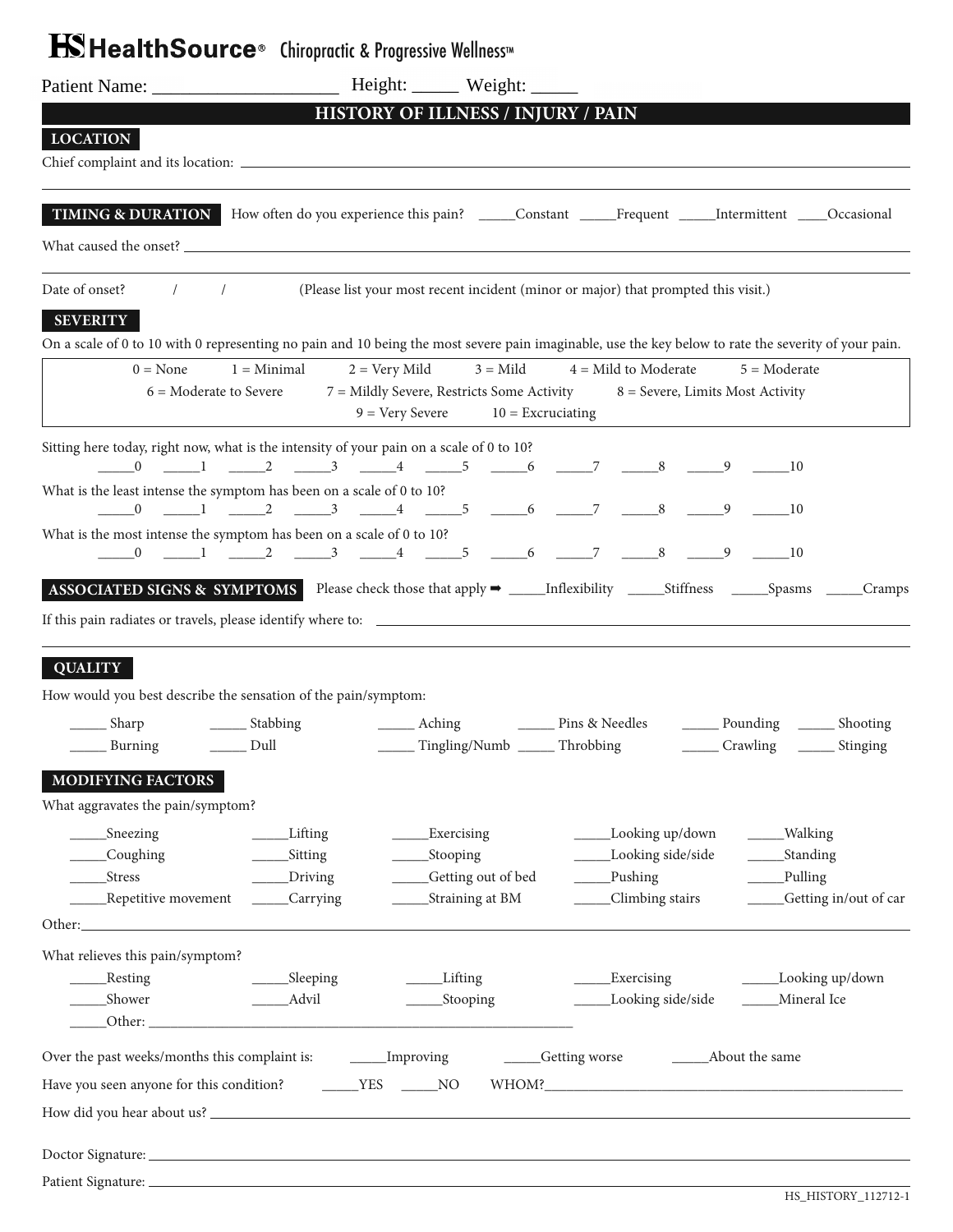# **HSHealthSource**<sup>®</sup> Chiropractic & Progressive Wellness™

|                                                                                                                                                                                                                                |                  | HISTORY OF ILLNESS / INJURY / PAIN                                          |                                   |                      |                      |                           |
|--------------------------------------------------------------------------------------------------------------------------------------------------------------------------------------------------------------------------------|------------------|-----------------------------------------------------------------------------|-----------------------------------|----------------------|----------------------|---------------------------|
| <b>LOCATION</b>                                                                                                                                                                                                                |                  |                                                                             |                                   |                      |                      |                           |
|                                                                                                                                                                                                                                |                  |                                                                             |                                   |                      |                      |                           |
| <b>TIMING &amp; DURATION</b> How often do you experience this pain? _____Constant _____Frequent _____Intermittent ____Occasional                                                                                               |                  |                                                                             |                                   |                      |                      |                           |
| What caused the onset? The contract of the contract of the contract of the contract of the contract of the contract of the contract of the contract of the contract of the contract of the contract of the contract of the con |                  |                                                                             |                                   |                      |                      |                           |
| Date of onset? / / (Please list your most recent incident (minor or major) that prompted this visit.)                                                                                                                          |                  |                                                                             |                                   |                      |                      |                           |
| <b>SEVERITY</b>                                                                                                                                                                                                                |                  |                                                                             |                                   |                      |                      |                           |
| On a scale of 0 to 10 with 0 representing no pain and 10 being the most severe pain imaginable, use the key below to rate the severity of your pain.                                                                           |                  |                                                                             |                                   |                      |                      |                           |
| $0 = \text{None}$                                                                                                                                                                                                              | $1 =$ Minimal    | $2 = \text{Very Mild}$                                                      | $3 =$ Mild $4 =$ Mild to Moderate |                      | $5 = \text{Modern}$  |                           |
| $6 =$ Moderate to Severe                                                                                                                                                                                                       |                  | 7 = Mildly Severe, Restricts Some Activity 8 = Severe, Limits Most Activity |                                   |                      |                      |                           |
|                                                                                                                                                                                                                                |                  | $9 = \text{Very Sever}$ $10 = \text{Excruciating}$                          |                                   |                      |                      |                           |
| Sitting here today, right now, what is the intensity of your pain on a scale of 0 to 10?                                                                                                                                       |                  |                                                                             |                                   |                      |                      |                           |
| What is the least intense the symptom has been on a scale of 0 to 10?                                                                                                                                                          |                  |                                                                             |                                   |                      |                      |                           |
|                                                                                                                                                                                                                                |                  |                                                                             |                                   |                      | $-10$                |                           |
| What is the most intense the symptom has been on a scale of 0 to 10?                                                                                                                                                           |                  |                                                                             |                                   |                      |                      |                           |
|                                                                                                                                                                                                                                |                  |                                                                             |                                   |                      |                      |                           |
|                                                                                                                                                                                                                                |                  |                                                                             |                                   |                      |                      |                           |
|                                                                                                                                                                                                                                |                  |                                                                             |                                   |                      |                      |                           |
|                                                                                                                                                                                                                                |                  |                                                                             |                                   |                      |                      |                           |
| <b>QUALITY</b>                                                                                                                                                                                                                 |                  |                                                                             |                                   |                      |                      |                           |
| How would you best describe the sensation of the pain/symptom:                                                                                                                                                                 |                  |                                                                             |                                   |                      |                      |                           |
| _______ Sharp                                                                                                                                                                                                                  | _______ Stabbing |                                                                             |                                   |                      |                      |                           |
| $\rule{1em}{0.15mm}$ Dull<br>______ Burning                                                                                                                                                                                    |                  | ______ Tingling/Numb ______ Throbbing ________ Crawling _______ Stinging    |                                   |                      |                      |                           |
| MODIFYING FACTORS                                                                                                                                                                                                              |                  |                                                                             |                                   |                      |                      |                           |
| What aggravates the pain/symptom?                                                                                                                                                                                              |                  |                                                                             |                                   |                      |                      |                           |
| Sneezing                                                                                                                                                                                                                       | _____Lifting     | ______Exercising                                                            |                                   | _____Looking up/down | ____Walking          |                           |
| _Coughing                                                                                                                                                                                                                      | _Sitting         | _Stooping                                                                   |                                   | Looking side/side    | _Standing            |                           |
| Stress                                                                                                                                                                                                                         | _Driving         | _Getting out of bed                                                         |                                   | Pushing              | _Pulling             |                           |
| Repetitive movement _____Carrying                                                                                                                                                                                              |                  | _____Straining at BM                                                        |                                   | Climbing stairs      |                      | ____Getting in/out of car |
|                                                                                                                                                                                                                                |                  |                                                                             |                                   |                      |                      |                           |
| What relieves this pain/symptom?<br>_Resting                                                                                                                                                                                   | _____Sleeping    | Lifting                                                                     |                                   | <b>Exercising</b>    | _____Looking up/down |                           |
| ___Shower                                                                                                                                                                                                                      | _______Advil     | _____Stooping                                                               |                                   | Looking side/side    | Mineral Ice          |                           |
|                                                                                                                                                                                                                                |                  |                                                                             |                                   |                      |                      |                           |
|                                                                                                                                                                                                                                |                  |                                                                             |                                   |                      |                      |                           |
| Have you seen anyone for this condition?                                                                                                                                                                                       | $YES$ NO         |                                                                             |                                   |                      |                      |                           |
|                                                                                                                                                                                                                                |                  |                                                                             |                                   |                      |                      |                           |
|                                                                                                                                                                                                                                |                  |                                                                             |                                   |                      |                      |                           |
| Doctor Signature: 2008 and 2008 and 2008 and 2008 and 2008 and 2008 and 2008 and 2008 and 2008 and 2008 and 20                                                                                                                 |                  |                                                                             |                                   |                      |                      |                           |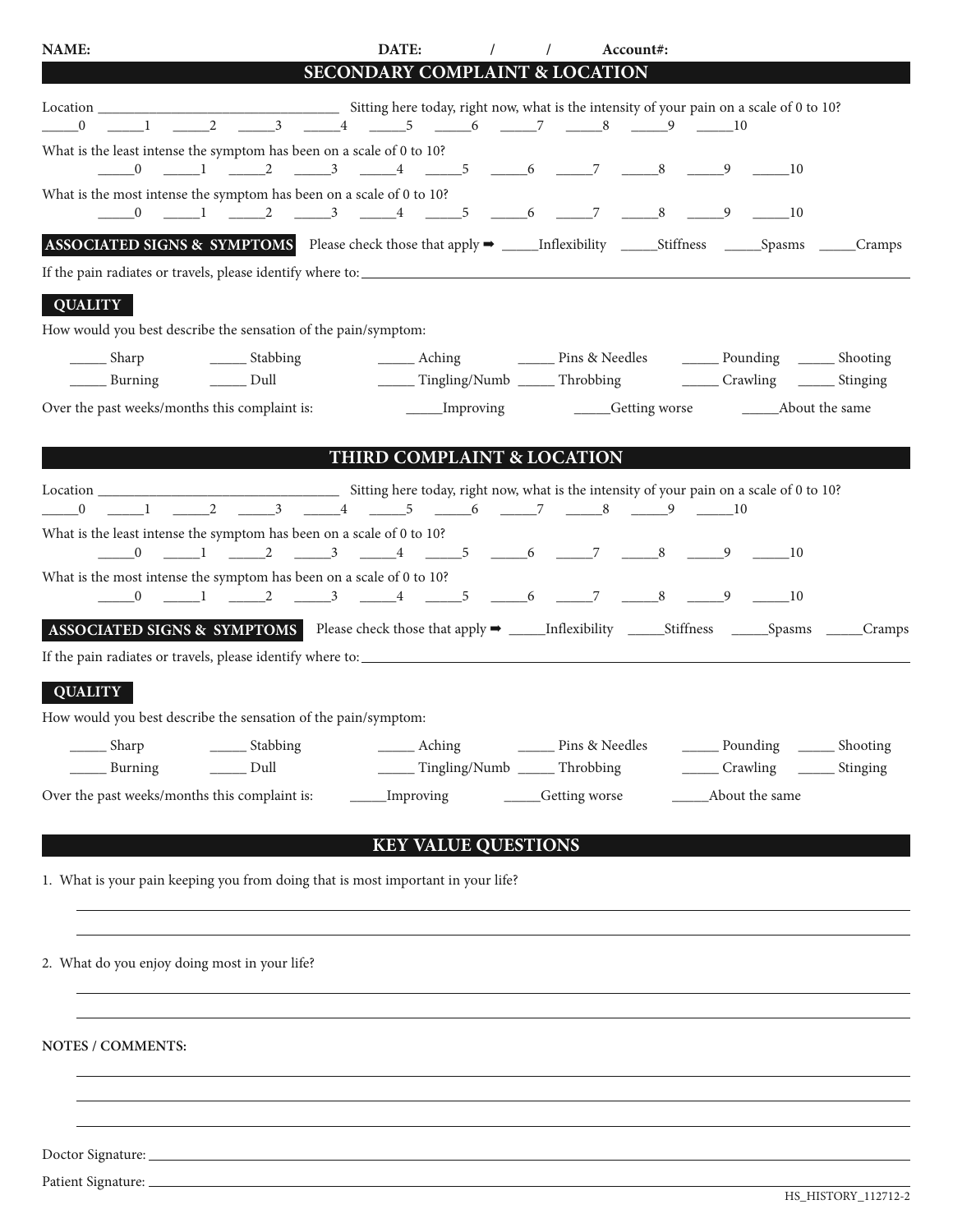| NAME:                                                                                                                |                                    | DATE:<br>$\sqrt{2}$                   | $\sqrt{2}$<br>Account#:         |                                                                                                                            |  |
|----------------------------------------------------------------------------------------------------------------------|------------------------------------|---------------------------------------|---------------------------------|----------------------------------------------------------------------------------------------------------------------------|--|
|                                                                                                                      |                                    | SECONDARY COMPLAINT & LOCATION        |                                 |                                                                                                                            |  |
|                                                                                                                      |                                    |                                       |                                 |                                                                                                                            |  |
| What is the least intense the symptom has been on a scale of 0 to 10?                                                |                                    |                                       |                                 |                                                                                                                            |  |
| What is the most intense the symptom has been on a scale of 0 to 10?                                                 |                                    |                                       |                                 |                                                                                                                            |  |
| ASSOCIATED SIGNS & SYMPTOMS Please check those that apply → _____Inflexibility _____Stiffness _____Spasms ____Cramps |                                    |                                       |                                 |                                                                                                                            |  |
|                                                                                                                      |                                    |                                       |                                 |                                                                                                                            |  |
| <b>QUALITY</b>                                                                                                       |                                    |                                       |                                 |                                                                                                                            |  |
| How would you best describe the sensation of the pain/symptom:                                                       |                                    |                                       |                                 |                                                                                                                            |  |
| ________ Sharp _________________ Stabbing                                                                            |                                    |                                       |                                 | Aching Pins & Needles <u>Denaming</u> Bhooting<br>Burning 		 Dull 		 		 Tingling/Numb 		 Throbbing 		 Crawling 		 Stinging |  |
| Over the past weeks/months this complaint is:                                                                        |                                    |                                       |                                 | _____Improving __________Getting worse ________________About the same                                                      |  |
|                                                                                                                      |                                    | <b>THIRD COMPLAINT &amp; LOCATION</b> |                                 |                                                                                                                            |  |
|                                                                                                                      |                                    |                                       |                                 |                                                                                                                            |  |
| What is the least intense the symptom has been on a scale of 0 to 10?                                                |                                    |                                       |                                 |                                                                                                                            |  |
| What is the most intense the symptom has been on a scale of 0 to 10?                                                 |                                    |                                       |                                 |                                                                                                                            |  |
|                                                                                                                      |                                    |                                       |                                 |                                                                                                                            |  |
|                                                                                                                      |                                    |                                       |                                 |                                                                                                                            |  |
|                                                                                                                      |                                    |                                       |                                 |                                                                                                                            |  |
| <b>QUALITY</b><br>How would you best describe the sensation of the pain/symptom:                                     |                                    |                                       |                                 |                                                                                                                            |  |
| $\frac{1}{\sqrt{2}}$ Sharp                                                                                           |                                    |                                       | <b>Example 1</b> Pins & Needles | ________ Pounding ________ Shooting                                                                                        |  |
| Burning                                                                                                              | Dull<br>$\mathcal{L}^{\text{max}}$ | ______ Tingling/Numb ______ Throbbing |                                 | _______ Crawling _______ Stinging                                                                                          |  |
| Over the past weeks/months this complaint is:                                                                        |                                    | ____Improving                         | ____Getting worse               | ________ About the same                                                                                                    |  |
|                                                                                                                      |                                    | <b>KEY VALUE QUESTIONS</b>            |                                 |                                                                                                                            |  |
| 1. What is your pain keeping you from doing that is most important in your life?                                     |                                    |                                       |                                 |                                                                                                                            |  |
|                                                                                                                      |                                    |                                       |                                 |                                                                                                                            |  |
| 2. What do you enjoy doing most in your life?                                                                        |                                    |                                       |                                 |                                                                                                                            |  |
|                                                                                                                      |                                    |                                       |                                 |                                                                                                                            |  |
| NOTES / COMMENTS:                                                                                                    |                                    |                                       |                                 |                                                                                                                            |  |
|                                                                                                                      |                                    |                                       |                                 |                                                                                                                            |  |
|                                                                                                                      |                                    |                                       |                                 |                                                                                                                            |  |
| Patient Signature:                                                                                                   |                                    |                                       |                                 |                                                                                                                            |  |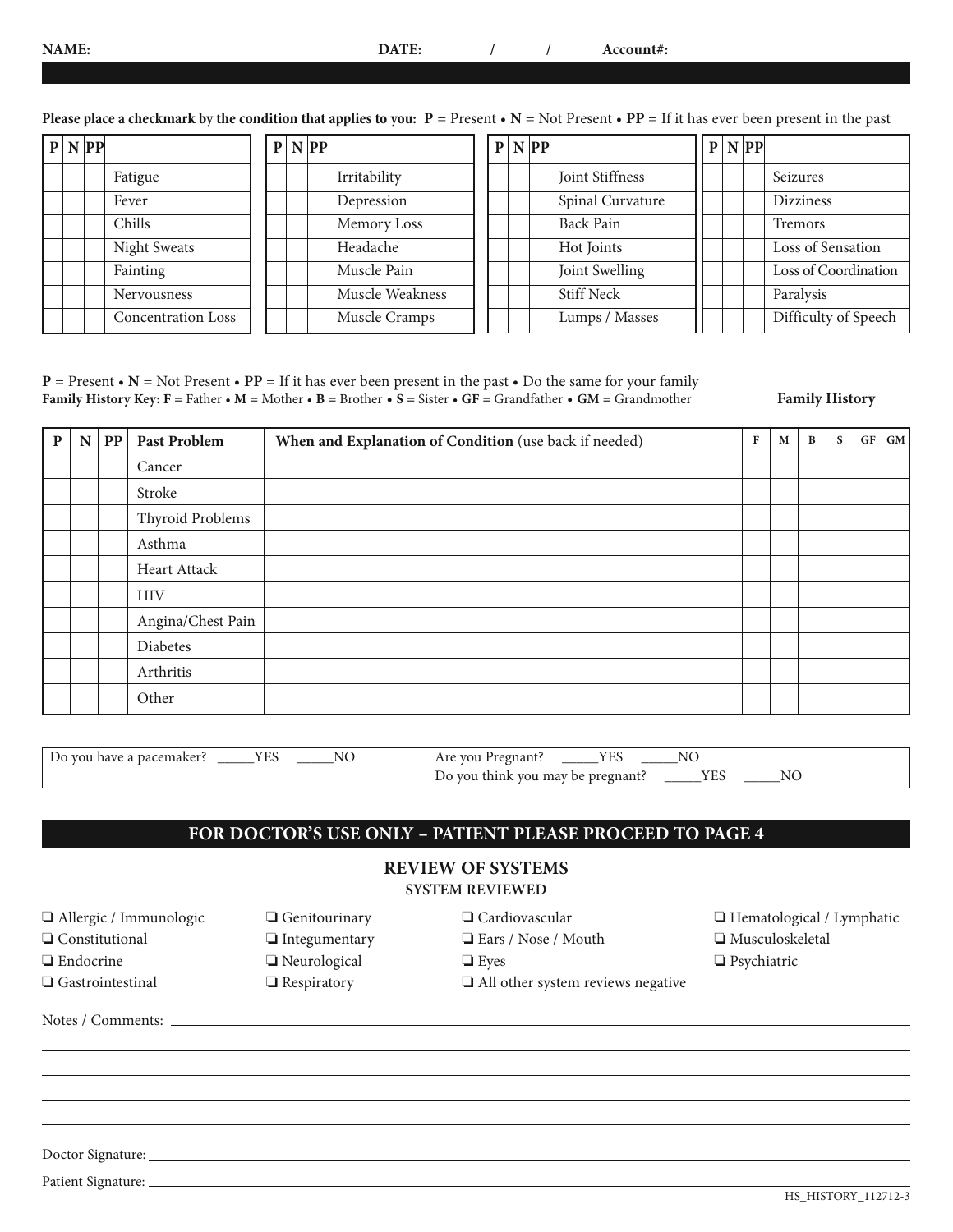#### **NAME: DATE: / / Account#:**

**Please place a checkmark by the condition that applies to you:**  $P =$  **Present •**  $N =$  **Not Present •**  $PP =$  **If it has ever been present in the past** 

|  | P N PP |                           |  | P N PP |                 | P N PP |                   |  | P N PP |                      |
|--|--------|---------------------------|--|--------|-----------------|--------|-------------------|--|--------|----------------------|
|  |        | Fatigue                   |  |        | Irritability    |        | Joint Stiffness   |  |        | Seizures             |
|  |        | Fever                     |  |        | Depression      |        | Spinal Curvature  |  |        | <b>Dizziness</b>     |
|  |        | Chills                    |  |        | Memory Loss     |        | Back Pain         |  |        | <b>Tremors</b>       |
|  |        | Night Sweats              |  |        | Headache        |        | Hot Joints        |  |        | Loss of Sensation    |
|  |        | Fainting                  |  |        | Muscle Pain     |        | Joint Swelling    |  |        | Loss of Coordination |
|  |        | Nervousness               |  |        | Muscle Weakness |        | <b>Stiff Neck</b> |  |        | Paralysis            |
|  |        | <b>Concentration Loss</b> |  |        | Muscle Cramps   |        | Lumps / Masses    |  |        | Difficulty of Speech |

**P** = Present • **N** = Not Present • **PP** = If it has ever been present in the past • Do the same for your family **Family History Key: F =** Father • **M =** Mother • **B =** Brother • **S =** Sister • **GF =** Grandfather • **GM =** Grandmother **Family History**

| P | $\mathbf N$ | $\bf PP$ | Past Problem      | When and Explanation of Condition (use back if needed) | F | M | B | S | GF | GM |
|---|-------------|----------|-------------------|--------------------------------------------------------|---|---|---|---|----|----|
|   |             |          | Cancer            |                                                        |   |   |   |   |    |    |
|   |             |          | Stroke            |                                                        |   |   |   |   |    |    |
|   |             |          | Thyroid Problems  |                                                        |   |   |   |   |    |    |
|   |             |          | Asthma            |                                                        |   |   |   |   |    |    |
|   |             |          | Heart Attack      |                                                        |   |   |   |   |    |    |
|   |             |          | <b>HIV</b>        |                                                        |   |   |   |   |    |    |
|   |             |          | Angina/Chest Pain |                                                        |   |   |   |   |    |    |
|   |             |          | Diabetes          |                                                        |   |   |   |   |    |    |
|   |             |          | Arthritis         |                                                        |   |   |   |   |    |    |
|   |             |          | Other             |                                                        |   |   |   |   |    |    |

| Do you have a pacemaker? | - ⊷ | Are you Pregnant?                 | --- | N |  |
|--------------------------|-----|-----------------------------------|-----|---|--|
|                          |     | Do you think you may be pregnant? |     |   |  |

## **FOR DOCTOR'S USE ONLY – PATIENT PLEASE PROCEED TO PAGE 4**

# **REVIEW OF SYSTEMS**

| <b>SYSTEM REVIEWED</b> |  |  |
|------------------------|--|--|
|                        |  |  |

| Allergic / Immunologic  | $\Box$ Genitourinary | $\Box$ Cardiovascular                    | $\Box$ Hematological / Lymphatic |
|-------------------------|----------------------|------------------------------------------|----------------------------------|
| $\Box$ Constitutional   | $\Box$ Integumentary | Ears / Nose / Mouth                      | $\Box$ Musculoskeletal           |
| $\Box$ Endocrine        | □ Neurological       | $\Box$ Eyes                              | $\Box$ Psychiatric               |
| $\Box$ Gastrointestinal | $\Box$ Respiratory   | $\Box$ All other system reviews negative |                                  |
|                         |                      |                                          |                                  |
|                         |                      |                                          |                                  |
|                         |                      |                                          |                                  |

Patient Signature: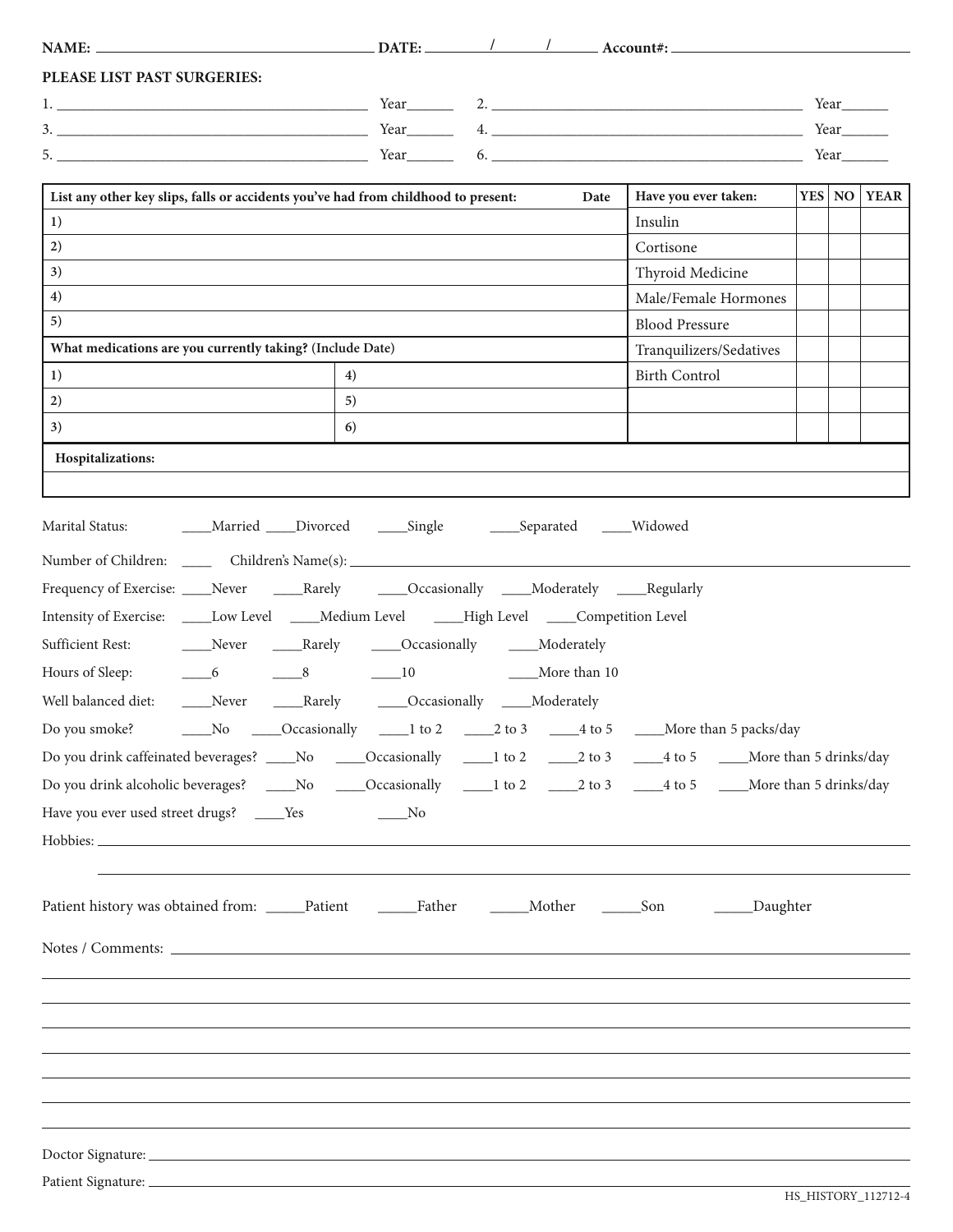| PLEASE LIST PAST SURGERIES:                                                                                                                                                                                                    |                                      |      |                                                                                        |              |                    |
|--------------------------------------------------------------------------------------------------------------------------------------------------------------------------------------------------------------------------------|--------------------------------------|------|----------------------------------------------------------------------------------------|--------------|--------------------|
|                                                                                                                                                                                                                                |                                      |      |                                                                                        | Year         |                    |
|                                                                                                                                                                                                                                |                                      |      |                                                                                        | Year________ |                    |
| $Year$ 6.                                                                                                                                                                                                                      |                                      |      |                                                                                        | Year         |                    |
| List any other key slips, falls or accidents you've had from childhood to present:                                                                                                                                             |                                      | Date | Have you ever taken:                                                                   |              | <b>YES</b> NO YEAR |
| 1)                                                                                                                                                                                                                             |                                      |      | Insulin                                                                                |              |                    |
| 2)                                                                                                                                                                                                                             |                                      |      | Cortisone                                                                              |              |                    |
| 3)                                                                                                                                                                                                                             |                                      |      | Thyroid Medicine                                                                       |              |                    |
| 4)                                                                                                                                                                                                                             |                                      |      | Male/Female Hormones                                                                   |              |                    |
| 5)                                                                                                                                                                                                                             |                                      |      | <b>Blood Pressure</b>                                                                  |              |                    |
| What medications are you currently taking? (Include Date)                                                                                                                                                                      |                                      |      | Tranquilizers/Sedatives                                                                |              |                    |
| 1)                                                                                                                                                                                                                             | 4)                                   |      | <b>Birth Control</b>                                                                   |              |                    |
| 2)                                                                                                                                                                                                                             | 5)                                   |      |                                                                                        |              |                    |
| 3)                                                                                                                                                                                                                             | 6)                                   |      |                                                                                        |              |                    |
| Hospitalizations:                                                                                                                                                                                                              |                                      |      |                                                                                        |              |                    |
|                                                                                                                                                                                                                                |                                      |      |                                                                                        |              |                    |
|                                                                                                                                                                                                                                |                                      |      |                                                                                        |              |                    |
| Marital Status: ________Married _____Divorced _______Single __________Separated ______Widowed                                                                                                                                  |                                      |      |                                                                                        |              |                    |
| Number of Children: _______ Children's Name(s): _________________________________                                                                                                                                              |                                      |      |                                                                                        |              |                    |
| Frequency of Exercise: ____Never ______Rarely ______Occasionally _____Moderately _____Regularly                                                                                                                                |                                      |      |                                                                                        |              |                    |
| Intensity of Exercise: _____Low Level _____Medium Level _____High Level _____Competition Level                                                                                                                                 |                                      |      |                                                                                        |              |                    |
| Sufficient Rest: _________Never _______Rarely ______Occasionally ______Moderately                                                                                                                                              |                                      |      |                                                                                        |              |                    |
| $\begin{array}{ccc} & -6 & & -8 \end{array}$<br>Hours of Sleep:                                                                                                                                                                | 10 More than 10                      |      |                                                                                        |              |                    |
|                                                                                                                                                                                                                                |                                      |      |                                                                                        |              |                    |
| Well balanced diet:                                                                                                                                                                                                            | Never Rarely Cccasionally Moderately |      |                                                                                        |              |                    |
| Do you smoke?                                                                                                                                                                                                                  |                                      |      | No _____Occasionally ______1 to 2 ______2 to 3 ______4 to 5 _____More than 5 packs/day |              |                    |
| Do you drink caffeinated beverages? No Cocasionally 1 to 2 2 to 3 4 to 5 More than 5 drinks/day                                                                                                                                |                                      |      |                                                                                        |              |                    |
| Do you drink alcoholic beverages? _____No ______Occasionally _____1 to 2 _____2 to 3 _____4 to 5 ____More than 5 drinks/day                                                                                                    |                                      |      |                                                                                        |              |                    |
| Have you ever used street drugs? _____Yes                                                                                                                                                                                      | $\rule{1em}{0.15mm}$ No              |      |                                                                                        |              |                    |
| Hobbies: Notification of the state of the state of the state of the state of the state of the state of the state of the state of the state of the state of the state of the state of the state of the state of the state of th |                                      |      |                                                                                        |              |                    |
|                                                                                                                                                                                                                                |                                      |      |                                                                                        |              |                    |
|                                                                                                                                                                                                                                |                                      |      | _Daughter                                                                              |              |                    |
|                                                                                                                                                                                                                                |                                      |      |                                                                                        |              |                    |
|                                                                                                                                                                                                                                |                                      |      |                                                                                        |              |                    |
|                                                                                                                                                                                                                                |                                      |      |                                                                                        |              |                    |
|                                                                                                                                                                                                                                |                                      |      |                                                                                        |              |                    |
|                                                                                                                                                                                                                                |                                      |      |                                                                                        |              |                    |
|                                                                                                                                                                                                                                |                                      |      |                                                                                        |              |                    |
|                                                                                                                                                                                                                                |                                      |      |                                                                                        |              |                    |
|                                                                                                                                                                                                                                |                                      |      |                                                                                        |              |                    |
|                                                                                                                                                                                                                                |                                      |      |                                                                                        |              |                    |
|                                                                                                                                                                                                                                |                                      |      |                                                                                        |              |                    |
|                                                                                                                                                                                                                                |                                      |      |                                                                                        |              |                    |